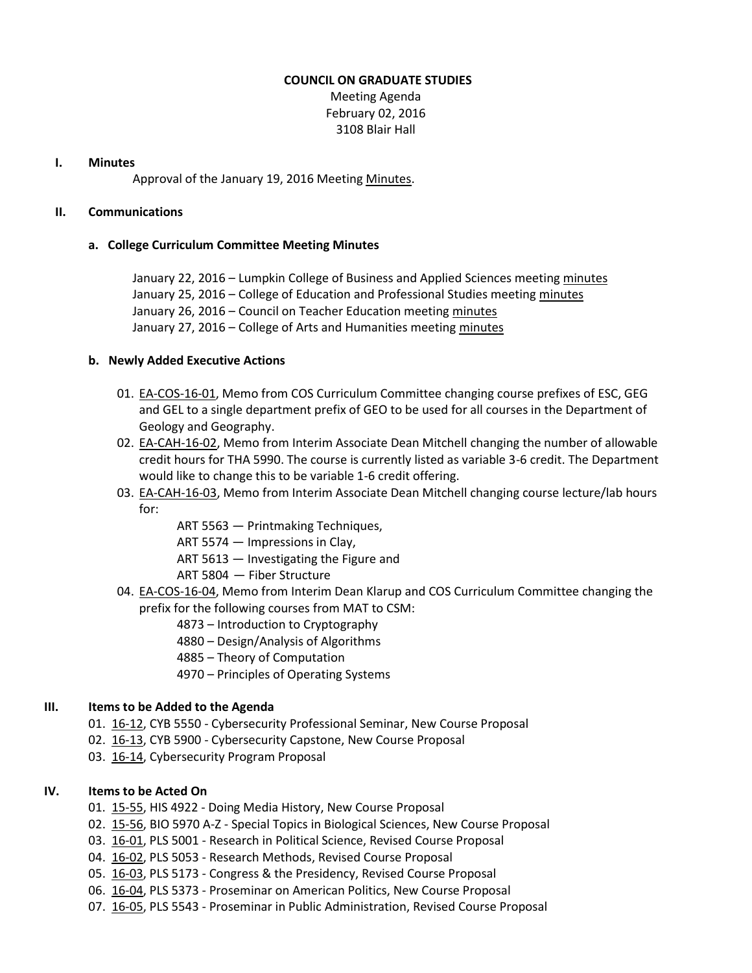#### **COUNCIL ON GRADUATE STUDIES**

Meeting Agenda February 02, 2016 3108 Blair Hall

#### **I. Minutes**

Approval of the January 19, 2016 Meeting [Minutes.](http://castle.eiu.edu/eiucgs/currentminutes/Minutes01-19-16.pdf)

## **II. Communications**

## **a. College Curriculum Committee Meeting Minutes**

January 22, 2016 – Lumpkin College of Business and Applied Sciences meetin[g minutes](http://castle.eiu.edu/~eiucgs/currentagendaitems/LCBASMin01-22-16.pdf) January 25, 2016 – College of Education and Professional Studies meeting [minutes](http://castle.eiu.edu/~eiucgs/currentagendaitems/CEPSMin01-25-16.pdf) January 26, 2016 – Council on Teacher Education meeting [minutes](http://castle.eiu.edu/~eiucgs/currentagendaitems/COTEMin01-26-16.pdf) January 27, 2016 – College of Arts and Humanities meeting [minutes](http://castle.eiu.edu/~eiucgs/currentagendaitems/CAHMin01-27-16.pdf)

## **b. Newly Added Executive Actions**

- 01. [EA-COS-16-01,](http://castle.eiu.edu/~eiucgs/exec-actions/EA-COS-16-01.pdf) Memo from COS Curriculum Committee changing course prefixes of ESC, GEG and GEL to a single department prefix of GEO to be used for all courses in the Department of Geology and Geography.
- 02. [EA-CAH-16-02,](http://castle.eiu.edu/~eiucgs/exec-actions/EA-CAH-16-02.pdf) Memo from Interim Associate Dean Mitchell changing the number of allowable credit hours for THA 5990. The course is currently listed as variable 3-6 credit. The Department would like to change this to be variable 1-6 credit offering.
- 03. [EA-CAH-16-03,](http://castle.eiu.edu/~eiucgs/exec-actions/EA-CAH-16-03.pdf) Memo from Interim Associate Dean Mitchell changing course lecture/lab hours for:
	- ART 5563 Printmaking Techniques,
	- ART 5574 Impressions in Clay,
	- ART 5613 Investigating the Figure and
	- ART 5804 Fiber Structure
- 04. [EA-COS-16-04,](http://castle.eiu.edu/~eiucgs/exec-actions/EA-COS-16-04.pdf) Memo from Interim Dean Klarup and COS Curriculum Committee changing the prefix for the following courses from MAT to CSM:
	- 4873 Introduction to Cryptography
	- 4880 Design/Analysis of Algorithms
	- 4885 Theory of Computation
	- 4970 Principles of Operating Systems

## **III. Items to be Added to the Agenda**

- 01. [16-12,](http://castle.eiu.edu/~eiucgs/currentagendaitems/agenda16-12.pdf) CYB 5550 Cybersecurity Professional Seminar, New Course Proposal
- 02. [16-13,](http://castle.eiu.edu/~eiucgs/currentagendaitems/agenda16-13.pdf) CYB 5900 Cybersecurity Capstone, New Course Proposal
- 03. [16-14,](http://castle.eiu.edu/~eiucgs/currentagendaitems/agenda16-14.pdf) Cybersecurity Program Proposal

## **IV. Items to be Acted On**

- 01. [15-55,](http://castle.eiu.edu/~eiucgs/currentagendaitems/agenda15-55.pdf) HIS 4922 Doing Media History, New Course Proposal
- 02. [15-56,](http://castle.eiu.edu/~eiucgs/currentagendaitems/agenda15-56.pdf) BIO 5970 A-Z Special Topics in Biological Sciences, New Course Proposal
- 03. [16-01,](http://castle.eiu.edu/~eiucgs/currentagendaitems/agenda16-01.pdf) PLS 5001 Research in Political Science, Revised Course Proposal
- 04. [16-02,](http://castle.eiu.edu/~eiucgs/currentagendaitems/agenda16-02.pdf) PLS 5053 Research Methods, Revised Course Proposal
- 05. [16-03,](http://castle.eiu.edu/~eiucgs/currentagendaitems/agenda16-03.pdf) PLS 5173 Congress & the Presidency, Revised Course Proposal
- 06. [16-04,](http://castle.eiu.edu/~eiucgs/currentagendaitems/agenda16-04.pdf) PLS 5373 Proseminar on American Politics, New Course Proposal
- 07. [16-05,](http://castle.eiu.edu/~eiucgs/currentagendaitems/agenda16-05.pdf) PLS 5543 Proseminar in Public Administration, Revised Course Proposal